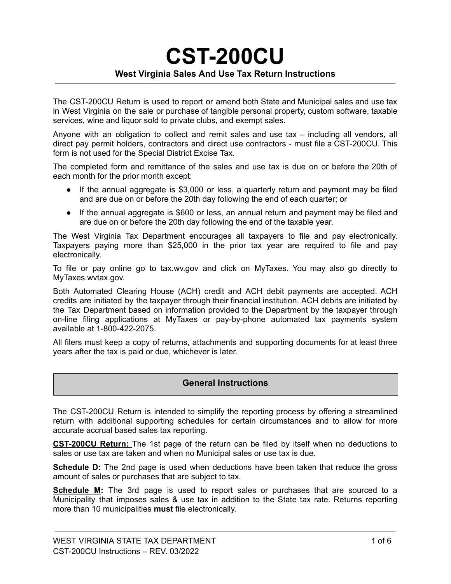# **CST-200CU West Virginia Sales And Use Tax Return Instructions**

The CST-200CU Return is used to report or amend both State and Municipal sales and use tax in West Virginia on the sale or purchase of tangible personal property, custom software, taxable services, wine and liquor sold to private clubs, and exempt sales.

Anyone with an obligation to collect and remit sales and use tax – including all vendors, all direct pay permit holders, contractors and direct use contractors - must file a CST-200CU. This form is not used for the Special District Excise Tax.

The completed form and remittance of the sales and use tax is due on or before the 20th of each month for the prior month except:

- If the annual aggregate is \$3,000 or less, a quarterly return and payment may be filed and are due on or before the 20th day following the end of each quarter; or
- If the annual aggregate is \$600 or less, an annual return and payment may be filed and are due on or before the 20th day following the end of the taxable year.

The West Virginia Tax Department encourages all taxpayers to file and pay electronically. Taxpayers paying more than \$25,000 in the prior tax year are required to file and pay electronically.

To file or pay online go to tax.wv.gov and click on MyTaxes. You may also go directly to MyTaxes.wvtax.gov.

Both Automated Clearing House (ACH) credit and ACH debit payments are accepted. ACH credits are initiated by the taxpayer through their financial institution. ACH debits are initiated by the Tax Department based on information provided to the Department by the taxpayer through on-line filing applications at MyTaxes or pay-by-phone automated tax payments system available at 1-800-422-2075.

All filers must keep a copy of returns, attachments and supporting documents for at least three years after the tax is paid or due, whichever is later.

#### **General Instructions**

The CST-200CU Return is intended to simplify the reporting process by offering a streamlined return with additional supporting schedules for certain circumstances and to allow for more accurate accrual based sales tax reporting.

**CST-200CU Return:** The 1st page of the return can be filed by itself when no deductions to sales or use tax are taken and when no Municipal sales or use tax is due.

**Schedule D:** The 2nd page is used when deductions have been taken that reduce the gross amount of sales or purchases that are subject to tax.

**Schedule M:** The 3rd page is used to report sales or purchases that are sourced to a Municipality that imposes sales & use tax in addition to the State tax rate. Returns reporting more than 10 municipalities **must** file electronically.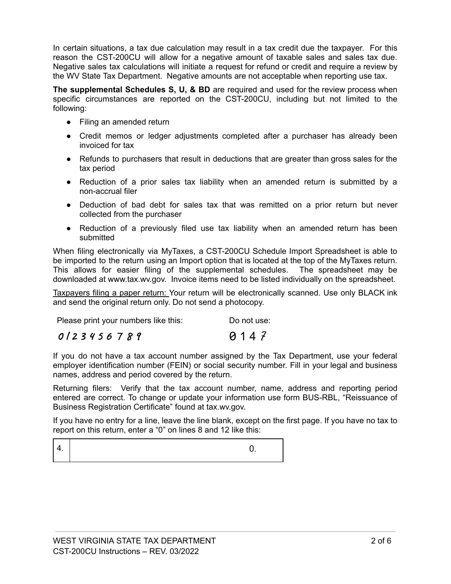In certain situations, a tax due calculation may result in a tax credit due the taxpayer. For this reason the CST-200CU will allow for a negative amount of taxable sales and sales tax due. Negative sales tax calculations will initiate a request for refund or credit and require a review by the WV State Tax Department. Negative amounts are not acceptable when reporting use tax.

**The supplemental Schedules S, U, & BD** are required and used for the review process when specific circumstances are reported on the CST-200CU, including but not limited to the following:

- Filing an amended return
- Credit memos or ledger adjustments completed after a purchaser has already been invoiced for tax
- Refunds to purchasers that result in deductions that are greater than gross sales for the tax period
- Reduction of a prior sales tax liability when an amended return is submitted by a non-accrual filer
- Deduction of bad debt for sales tax that was remitted on a prior return but never collected from the purchaser
- Reduction of a previously filed use tax liability when an amended return has been submitted

When filing electronically via MyTaxes, a CST-200CU Schedule Import Spreadsheet is able to be imported to the return using an Import option that is located at the top of the MyTaxes return. This allows for easier filing of the supplemental schedules. The spreadsheet may be downloaded at www.tax.wv.gov. Invoice items need to be listed individually on the spreadsheet.

Taxpayers filing a paper return: Your return will be electronically scanned. Use only BLACK ink and send the original return only. Do not send a photocopy.

|  | Please print your numbers like this: | Do not use: |  |
|--|--------------------------------------|-------------|--|
|  |                                      |             |  |

| 0123456789 | 0147 |
|------------|------|
|------------|------|

If you do not have a tax account number assigned by the Tax Department, use your federal employer identification number (FEIN) or social security number. Fill in your legal and business names, address and period covered by the return.

Returning filers: Verify that the tax account number, name, address and reporting period entered are correct. To change or update your information use form BUS-RBL, "Reissuance of Business Registration Certificate" found at tax.wv.gov.

If you have no entry for a line, leave the line blank, except on the first page. If you have no tax to report on this return, enter a "0" on lines 8 and 12 like this:

 $4.$  0.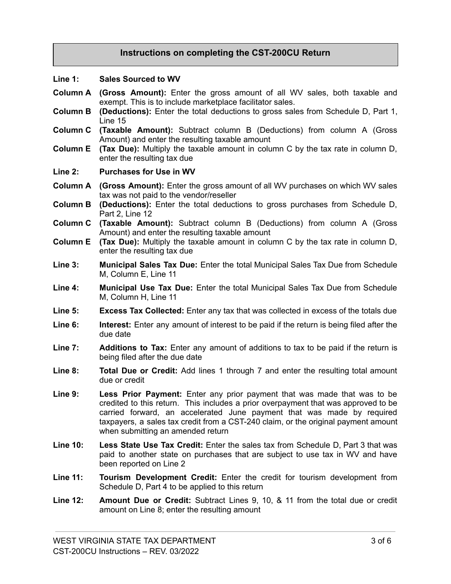# **Instructions on completing the CST-200CU Return**

#### **Line 1: Sales Sourced to WV**

- **Column A (Gross Amount):** Enter the gross amount of all WV sales, both taxable and exempt. This is to include marketplace facilitator sales.
- **Column B (Deductions):** Enter the total deductions to gross sales from Schedule D, Part 1, Line 15
- **Column C (Taxable Amount):** Subtract column B (Deductions) from column A (Gross Amount) and enter the resulting taxable amount
- **Column E (Tax Due):** Multiply the taxable amount in column C by the tax rate in column D, enter the resulting tax due
- **Line 2: Purchases for Use in WV**
- **Column A (Gross Amount):** Enter the gross amount of all WV purchases on which WV sales tax was not paid to the vendor/reseller
- **Column B (Deductions):** Enter the total deductions to gross purchases from Schedule D, Part 2, Line 12
- **Column C (Taxable Amount):** Subtract column B (Deductions) from column A (Gross Amount) and enter the resulting taxable amount
- **Column E (Tax Due):** Multiply the taxable amount in column C by the tax rate in column D, enter the resulting tax due
- **Line 3: Municipal Sales Tax Due:** Enter the total Municipal Sales Tax Due from Schedule M, Column E, Line 11
- **Line 4: Municipal Use Tax Due:** Enter the total Municipal Sales Tax Due from Schedule M, Column H, Line 11
- **Line 5: Excess Tax Collected:** Enter any tax that was collected in excess of the totals due
- **Line 6: Interest:** Enter any amount of interest to be paid if the return is being filed after the due date
- **Line 7: Additions to Tax:** Enter any amount of additions to tax to be paid if the return is being filed after the due date
- **Line 8: Total Due or Credit:** Add lines 1 through 7 and enter the resulting total amount due or credit
- **Line 9: Less Prior Payment:** Enter any prior payment that was made that was to be credited to this return. This includes a prior overpayment that was approved to be carried forward, an accelerated June payment that was made by required taxpayers, a sales tax credit from a CST-240 claim, or the original payment amount when submitting an amended return
- **Line 10: Less State Use Tax Credit:** Enter the sales tax from Schedule D, Part 3 that was paid to another state on purchases that are subject to use tax in WV and have been reported on Line 2
- **Line 11: Tourism Development Credit:** Enter the credit for tourism development from Schedule D, Part 4 to be applied to this return
- **Line 12: Amount Due or Credit:** Subtract Lines 9, 10, & 11 from the total due or credit amount on Line 8; enter the resulting amount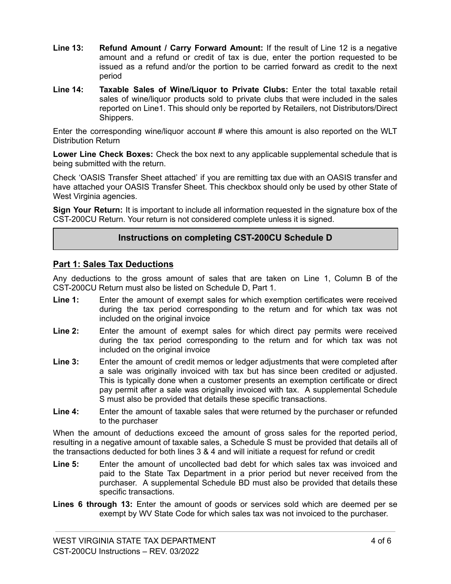- **Line 13: Refund Amount / Carry Forward Amount:** If the result of Line 12 is a negative amount and a refund or credit of tax is due, enter the portion requested to be issued as a refund and/or the portion to be carried forward as credit to the next period
- **Line 14: Taxable Sales of Wine/Liquor to Private Clubs:** Enter the total taxable retail sales of wine/liquor products sold to private clubs that were included in the sales reported on Line1. This should only be reported by Retailers, not Distributors/Direct Shippers.

Enter the corresponding wine/liquor account # where this amount is also reported on the WLT Distribution Return

**Lower Line Check Boxes:** Check the box next to any applicable supplemental schedule that is being submitted with the return.

Check 'OASIS Transfer Sheet attached' if you are remitting tax due with an OASIS transfer and have attached your OASIS Transfer Sheet. This checkbox should only be used by other State of West Virginia agencies.

**Sign Your Return:** It is important to include all information requested in the signature box of the CST-200CU Return. Your return is not considered complete unless it is signed.

#### **Instructions on completing CST-200CU Schedule D**

#### **Part 1: Sales Tax Deductions**

Any deductions to the gross amount of sales that are taken on Line 1, Column B of the CST-200CU Return must also be listed on Schedule D, Part 1.

- **Line 1:** Enter the amount of exempt sales for which exemption certificates were received during the tax period corresponding to the return and for which tax was not included on the original invoice
- **Line 2:** Enter the amount of exempt sales for which direct pay permits were received during the tax period corresponding to the return and for which tax was not included on the original invoice
- **Line 3:** Enter the amount of credit memos or ledger adjustments that were completed after a sale was originally invoiced with tax but has since been credited or adjusted. This is typically done when a customer presents an exemption certificate or direct pay permit after a sale was originally invoiced with tax. A supplemental Schedule S must also be provided that details these specific transactions.
- **Line 4:** Enter the amount of taxable sales that were returned by the purchaser or refunded to the purchaser

When the amount of deductions exceed the amount of gross sales for the reported period, resulting in a negative amount of taxable sales, a Schedule S must be provided that details all of the transactions deducted for both lines 3 & 4 and will initiate a request for refund or credit

- **Line 5:** Enter the amount of uncollected bad debt for which sales tax was invoiced and paid to the State Tax Department in a prior period but never received from the purchaser. A supplemental Schedule BD must also be provided that details these specific transactions.
- **Lines 6 through 13:** Enter the amount of goods or services sold which are deemed per se exempt by WV State Code for which sales tax was not invoiced to the purchaser.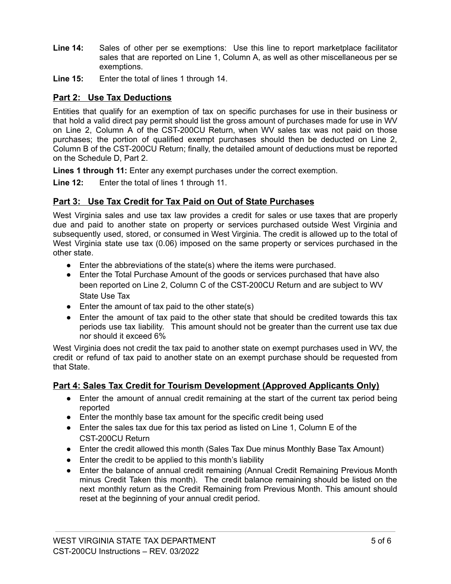- **Line 14:** Sales of other per se exemptions: Use this line to report marketplace facilitator sales that are reported on Line 1, Column A, as well as other miscellaneous per se exemptions.
- **Line 15:** Enter the total of lines 1 through 14.

# **Part 2: Use Tax Deductions**

Entities that qualify for an exemption of tax on specific purchases for use in their business or that hold a valid direct pay permit should list the gross amount of purchases made for use in WV on Line 2, Column A of the CST-200CU Return, when WV sales tax was not paid on those purchases; the portion of qualified exempt purchases should then be deducted on Line 2, Column B of the CST-200CU Return; finally, the detailed amount of deductions must be reported on the Schedule D, Part 2.

**Lines 1 through 11:** Enter any exempt purchases under the correct exemption.

**Line 12:** Enter the total of lines 1 through 11.

# **Part 3: Use Tax Credit for Tax Paid on Out of State Purchases**

West Virginia sales and use tax law provides a credit for sales or use taxes that are properly due and paid to another state on property or services purchased outside West Virginia and subsequently used, stored, or consumed in West Virginia. The credit is allowed up to the total of West Virginia state use tax (0.06) imposed on the same property or services purchased in the other state.

- Enter the abbreviations of the state(s) where the items were purchased.
- Enter the Total Purchase Amount of the goods or services purchased that have also been reported on Line 2, Column C of the CST-200CU Return and are subject to WV State Use Tax
- $\bullet$  Enter the amount of tax paid to the other state(s)
- Enter the amount of tax paid to the other state that should be credited towards this tax periods use tax liability. This amount should not be greater than the current use tax due nor should it exceed 6%

West Virginia does not credit the tax paid to another state on exempt purchases used in WV, the credit or refund of tax paid to another state on an exempt purchase should be requested from that State.

# **Part 4: Sales Tax Credit for Tourism Development (Approved Applicants Only)**

- Enter the amount of annual credit remaining at the start of the current tax period being reported
- Enter the monthly base tax amount for the specific credit being used
- Enter the sales tax due for this tax period as listed on Line 1, Column E of the CST-200CU Return
- Enter the credit allowed this month (Sales Tax Due minus Monthly Base Tax Amount)
- Enter the credit to be applied to this month's liability
- Enter the balance of annual credit remaining (Annual Credit Remaining Previous Month minus Credit Taken this month). The credit balance remaining should be listed on the next monthly return as the Credit Remaining from Previous Month. This amount should reset at the beginning of your annual credit period.